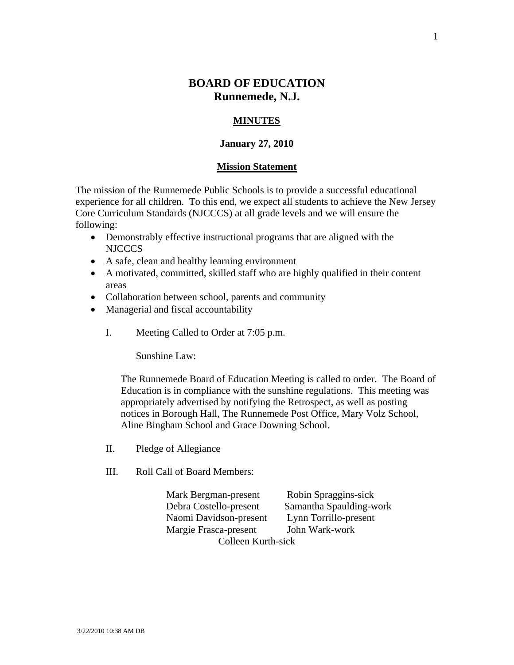# **BOARD OF EDUCATION Runnemede, N.J.**

# **MINUTES**

### **January 27, 2010**

#### **Mission Statement**

The mission of the Runnemede Public Schools is to provide a successful educational experience for all children. To this end, we expect all students to achieve the New Jersey Core Curriculum Standards (NJCCCS) at all grade levels and we will ensure the following:

- Demonstrably effective instructional programs that are aligned with the NJCCCS
- A safe, clean and healthy learning environment
- A motivated, committed, skilled staff who are highly qualified in their content areas
- Collaboration between school, parents and community
- Managerial and fiscal accountability
	- I. Meeting Called to Order at 7:05 p.m.

Sunshine Law:

The Runnemede Board of Education Meeting is called to order. The Board of Education is in compliance with the sunshine regulations. This meeting was appropriately advertised by notifying the Retrospect, as well as posting notices in Borough Hall, The Runnemede Post Office, Mary Volz School, Aline Bingham School and Grace Downing School.

- II. Pledge of Allegiance
- III. Roll Call of Board Members:

Mark Bergman-present Robin Spraggins-sick Debra Costello-present Samantha Spaulding-work Naomi Davidson-present Lynn Torrillo-present Margie Frasca-present John Wark-work Colleen Kurth-sick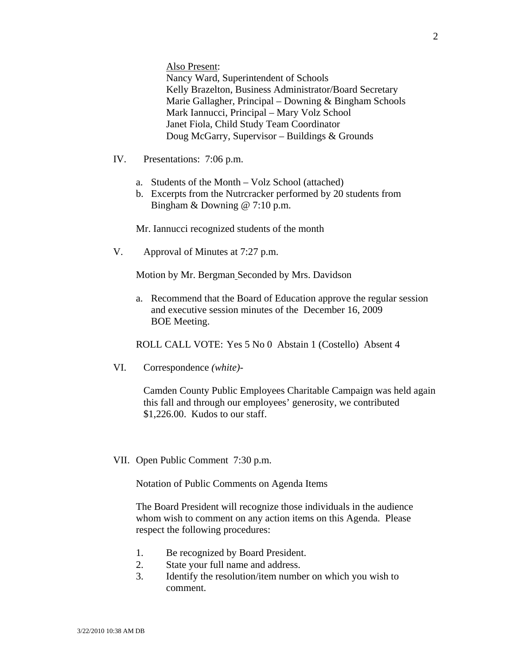Also Present:

Nancy Ward, Superintendent of Schools Kelly Brazelton, Business Administrator/Board Secretary Marie Gallagher, Principal – Downing & Bingham Schools Mark Iannucci, Principal – Mary Volz School Janet Fiola, Child Study Team Coordinator Doug McGarry, Supervisor – Buildings & Grounds

- IV. Presentations: 7:06 p.m.
	- a. Students of the Month Volz School (attached)
	- b. Excerpts from the Nutrcracker performed by 20 students from Bingham & Downing @ 7:10 p.m.

Mr. Iannucci recognized students of the month

V. Approval of Minutes at 7:27 p.m.

Motion by Mr. Bergman Seconded by Mrs. Davidson

a. Recommend that the Board of Education approve the regular session and executive session minutes of the December 16, 2009 BOE Meeting.

ROLL CALL VOTE: Yes 5 No 0 Abstain 1 (Costello) Absent 4

VI. Correspondence *(white)-* 

Camden County Public Employees Charitable Campaign was held again this fall and through our employees' generosity, we contributed \$1,226.00. Kudos to our staff.

VII. Open Public Comment 7:30 p.m.

Notation of Public Comments on Agenda Items

The Board President will recognize those individuals in the audience whom wish to comment on any action items on this Agenda. Please respect the following procedures:

- 1. Be recognized by Board President.
- 2. State your full name and address.
- 3. Identify the resolution/item number on which you wish to comment.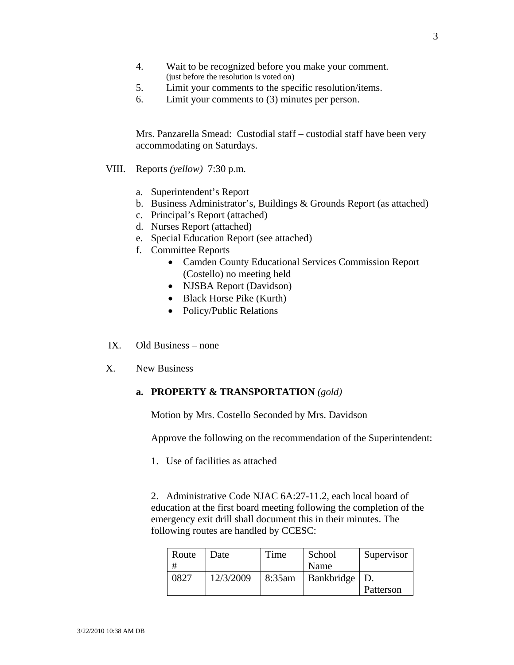- 4. Wait to be recognized before you make your comment. (just before the resolution is voted on)
- 5. Limit your comments to the specific resolution/items.
- 6. Limit your comments to (3) minutes per person.

Mrs. Panzarella Smead: Custodial staff – custodial staff have been very accommodating on Saturdays.

- VIII. Reports *(yellow)* 7:30 p.m*.* 
	- a. Superintendent's Report
	- b. Business Administrator's, Buildings & Grounds Report (as attached)
	- c. Principal's Report (attached)
	- d. Nurses Report (attached)
	- e. Special Education Report (see attached)
	- f. Committee Reports
		- Camden County Educational Services Commission Report (Costello) no meeting held
		- NJSBA Report (Davidson)
		- Black Horse Pike (Kurth)
		- Policy/Public Relations
- IX. Old Business none
- X. New Business

# **a. PROPERTY & TRANSPORTATION** *(gold)*

Motion by Mrs. Costello Seconded by Mrs. Davidson

Approve the following on the recommendation of the Superintendent:

1. Use of facilities as attached

2. Administrative Code NJAC 6A:27-11.2, each local board of education at the first board meeting following the completion of the emergency exit drill shall document this in their minutes. The following routes are handled by CCESC:

| Route | Date      | Time   | School          | Supervisor |
|-------|-----------|--------|-----------------|------------|
| #     |           |        | Name            |            |
| 0827  | 12/3/2009 | 8:35am | Bankbridge   D. |            |
|       |           |        |                 | Patterson  |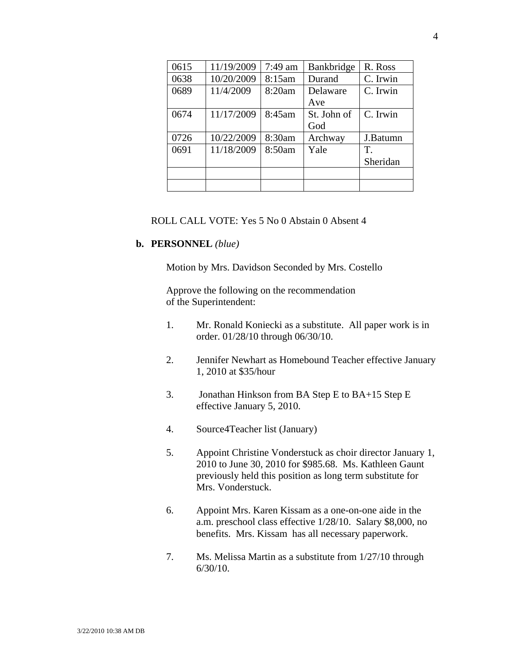| 0615 | 11/19/2009 | $7:49$ am | Bankbridge  | R. Ross  |
|------|------------|-----------|-------------|----------|
| 0638 | 10/20/2009 | 8:15am    | Durand      | C. Irwin |
| 0689 | 11/4/2009  | 8:20am    | Delaware    | C. Irwin |
|      |            |           | Ave         |          |
| 0674 | 11/17/2009 | 8:45am    | St. John of | C. Irwin |
|      |            |           | God         |          |
| 0726 | 10/22/2009 | 8:30am    | Archway     | J.Batumn |
| 0691 | 11/18/2009 | 8:50am    | Yale        | T.       |
|      |            |           |             | Sheridan |
|      |            |           |             |          |
|      |            |           |             |          |

## ROLL CALL VOTE: Yes 5 No 0 Abstain 0 Absent 4

#### **b. PERSONNEL** *(blue)*

Motion by Mrs. Davidson Seconded by Mrs. Costello

 Approve the following on the recommendation of the Superintendent:

- 1. Mr. Ronald Koniecki as a substitute. All paper work is in order. 01/28/10 through 06/30/10.
- 2. Jennifer Newhart as Homebound Teacher effective January 1, 2010 at \$35/hour
- 3. Jonathan Hinkson from BA Step E to BA+15 Step E effective January 5, 2010.
- 4. Source4Teacher list (January)
- 5. Appoint Christine Vonderstuck as choir director January 1, 2010 to June 30, 2010 for \$985.68. Ms. Kathleen Gaunt previously held this position as long term substitute for Mrs. Vonderstuck.
- 6. Appoint Mrs. Karen Kissam as a one-on-one aide in the a.m. preschool class effective 1/28/10. Salary \$8,000, no benefits. Mrs. Kissam has all necessary paperwork.
- 7. Ms. Melissa Martin as a substitute from 1/27/10 through 6/30/10.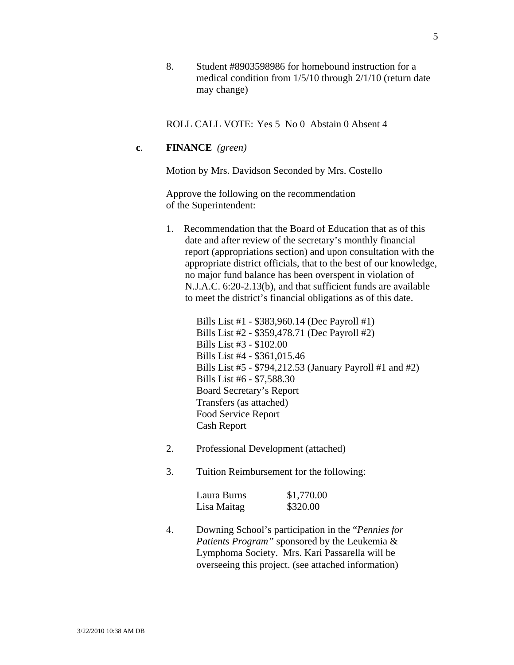8. Student #8903598986 for homebound instruction for a medical condition from 1/5/10 through 2/1/10 (return date may change)

ROLL CALL VOTE: Yes 5 No 0 Abstain 0 Absent 4

## **c**. **FINANCE** *(green)*

Motion by Mrs. Davidson Seconded by Mrs. Costello

Approve the following on the recommendation of the Superintendent:

1. Recommendation that the Board of Education that as of this date and after review of the secretary's monthly financial report (appropriations section) and upon consultation with the appropriate district officials, that to the best of our knowledge, no major fund balance has been overspent in violation of N.J.A.C. 6:20-2.13(b), and that sufficient funds are available to meet the district's financial obligations as of this date.

> Bills List #1 - \$383,960.14 (Dec Payroll #1) Bills List #2 - \$359,478.71 (Dec Payroll #2) Bills List #3 - \$102.00 Bills List #4 - \$361,015.46 Bills List #5 - \$794,212.53 (January Payroll #1 and #2) Bills List #6 - \$7,588.30 Board Secretary's Report Transfers (as attached) Food Service Report Cash Report

- 2. Professional Development (attached)
- 3. Tuition Reimbursement for the following:

| Laura Burns | \$1,770.00 |
|-------------|------------|
| Lisa Maitag | \$320.00   |

4. Downing School's participation in the "*Pennies for Patients Program"* sponsored by the Leukemia & Lymphoma Society. Mrs. Kari Passarella will be overseeing this project. (see attached information)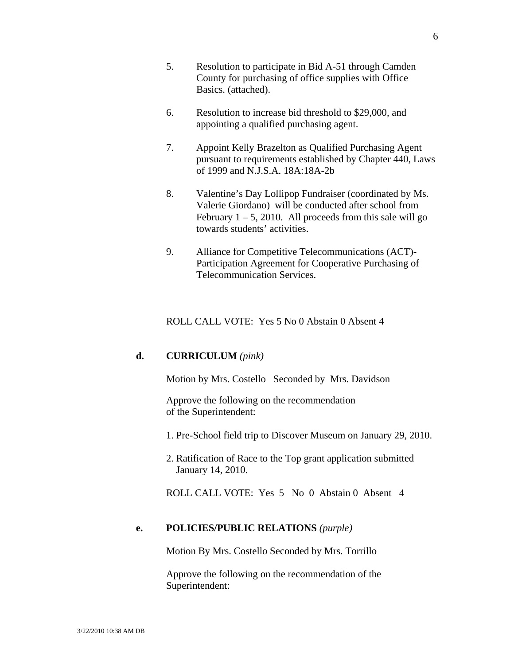- 5. Resolution to participate in Bid A-51 through Camden County for purchasing of office supplies with Office Basics. (attached).
- 6. Resolution to increase bid threshold to \$29,000, and appointing a qualified purchasing agent.
- 7. Appoint Kelly Brazelton as Qualified Purchasing Agent pursuant to requirements established by Chapter 440, Laws of 1999 and N.J.S.A. 18A:18A-2b
- 8. Valentine's Day Lollipop Fundraiser (coordinated by Ms. Valerie Giordano) will be conducted after school from February  $1 - 5$ , 2010. All proceeds from this sale will go towards students' activities.
- 9. Alliance for Competitive Telecommunications (ACT)- Participation Agreement for Cooperative Purchasing of Telecommunication Services.

## ROLL CALL VOTE: Yes 5 No 0 Abstain 0 Absent 4

# **d. CURRICULUM** *(pink)*

Motion by Mrs. Costello Seconded by Mrs. Davidson

Approve the following on the recommendation of the Superintendent:

1. Pre-School field trip to Discover Museum on January 29, 2010.

 2. Ratification of Race to the Top grant application submitted January 14, 2010.

ROLL CALL VOTE: Yes 5 No 0 Abstain 0 Absent 4

## **e. POLICIES/PUBLIC RELATIONS** *(purple)*

Motion By Mrs. Costello Seconded by Mrs. Torrillo

Approve the following on the recommendation of the Superintendent: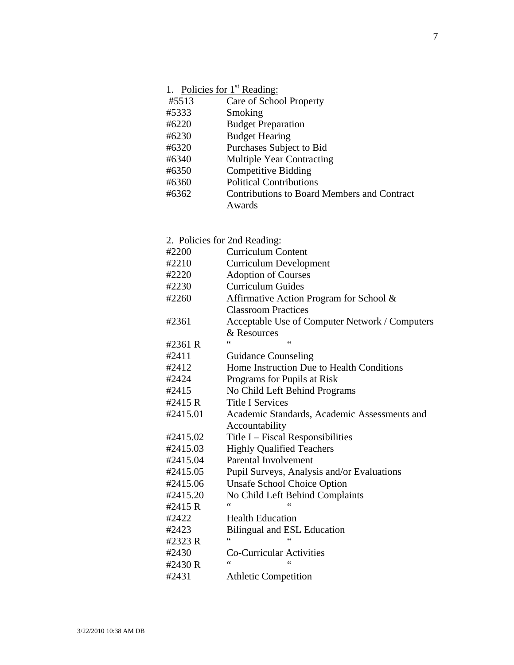|       | 1. Policies for 1 <sup>st</sup> Reading:           |
|-------|----------------------------------------------------|
| #5513 | Care of School Property                            |
| #5333 | Smoking                                            |
| #6220 | <b>Budget Preparation</b>                          |
| #6230 | <b>Budget Hearing</b>                              |
| #6320 | Purchases Subject to Bid                           |
| #6340 | <b>Multiple Year Contracting</b>                   |
| #6350 | <b>Competitive Bidding</b>                         |
| #6360 | <b>Political Contributions</b>                     |
| #6362 | <b>Contributions to Board Members and Contract</b> |
|       | Awards                                             |

# 2. Policies for 2nd Reading: #2200 Curriculum Content #2210 Curriculum Development #2220 Adoption of Courses #2230 Curriculum Guides #2260 Affirmative Action Program for School & Classroom Practices #2361 Acceptable Use of Computer Network / Computers & Resources  $#2361 R$ #2411 Guidance Counseling #2412 Home Instruction Due to Health Conditions #2424 Programs for Pupils at Risk #2415 No Child Left Behind Programs #2415 R Title I Services #2415.01 Academic Standards, Academic Assessments and Accountability #2415.02 Title I – Fiscal Responsibilities #2415.03 Highly Qualified Teachers #2415.04 Parental Involvement #2415.05 Pupil Surveys, Analysis and/or Evaluations #2415.06 Unsafe School Choice Option #2415.20 No Child Left Behind Complaints  $#2415 R$ #2422 Health Education #2423 Bilingual and ESL Education  $#2323 R$ #2430 Co-Curricular Activities  $#2430 R$ #2431 Athletic Competition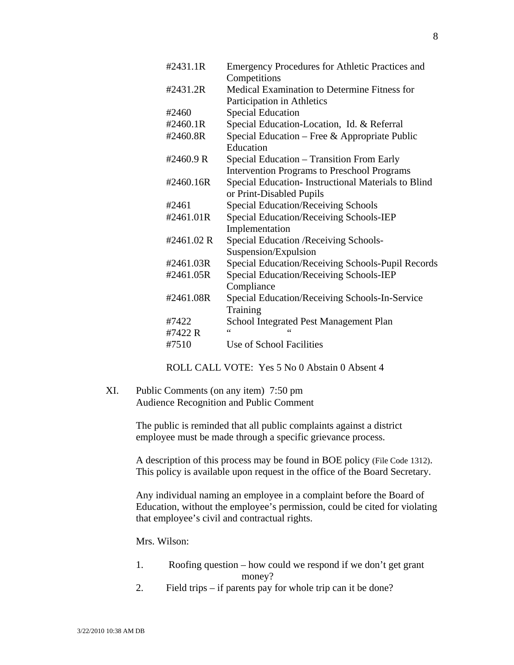| #2431.1R   | Emergency Procedures for Athletic Practices and    |
|------------|----------------------------------------------------|
|            | Competitions                                       |
| #2431.2R   | Medical Examination to Determine Fitness for       |
|            | Participation in Athletics                         |
| #2460      | <b>Special Education</b>                           |
| #2460.1R   | Special Education-Location, Id. & Referral         |
| #2460.8R   | Special Education – Free & Appropriate Public      |
|            | Education                                          |
| #2460.9 R  | Special Education – Transition From Early          |
|            | <b>Intervention Programs to Preschool Programs</b> |
| #2460.16R  | Special Education-Instructional Materials to Blind |
|            | or Print-Disabled Pupils                           |
| #2461      | <b>Special Education/Receiving Schools</b>         |
| #2461.01R  | Special Education/Receiving Schools-IEP            |
|            | Implementation                                     |
| #2461.02 R | Special Education / Receiving Schools-             |
|            | Suspension/Expulsion                               |
| #2461.03R  | Special Education/Receiving Schools-Pupil Records  |
| #2461.05R  | Special Education/Receiving Schools-IEP            |
|            | Compliance                                         |
| #2461.08R  | Special Education/Receiving Schools-In-Service     |
|            | Training                                           |
| #7422      | <b>School Integrated Pest Management Plan</b>      |
| #7422 R    | $\epsilon$                                         |
| #7510      | Use of School Facilities                           |

ROLL CALL VOTE: Yes 5 No 0 Abstain 0 Absent 4

XI. Public Comments (on any item) 7:50 pm Audience Recognition and Public Comment

> The public is reminded that all public complaints against a district employee must be made through a specific grievance process.

A description of this process may be found in BOE policy (File Code 1312). This policy is available upon request in the office of the Board Secretary.

Any individual naming an employee in a complaint before the Board of Education, without the employee's permission, could be cited for violating that employee's civil and contractual rights.

Mrs. Wilson:

- 1. Roofing question how could we respond if we don't get grant money?
- 2. Field trips if parents pay for whole trip can it be done?